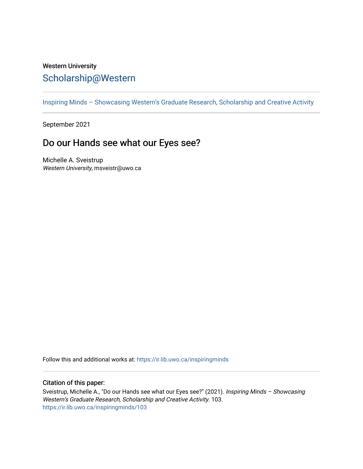## Western University [Scholarship@Western](https://ir.lib.uwo.ca/)

[Inspiring Minds – Showcasing Western's Graduate Research, Scholarship and Creative Activity](https://ir.lib.uwo.ca/inspiringminds) 

September 2021

## Do our Hands see what our Eyes see?

Michelle A. Sveistrup Western University, msveistr@uwo.ca

Follow this and additional works at: [https://ir.lib.uwo.ca/inspiringminds](https://ir.lib.uwo.ca/inspiringminds?utm_source=ir.lib.uwo.ca%2Finspiringminds%2F103&utm_medium=PDF&utm_campaign=PDFCoverPages) 

## Citation of this paper:

Sveistrup, Michelle A., "Do our Hands see what our Eyes see?" (2021). Inspiring Minds – Showcasing Western's Graduate Research, Scholarship and Creative Activity. 103. [https://ir.lib.uwo.ca/inspiringminds/103](https://ir.lib.uwo.ca/inspiringminds/103?utm_source=ir.lib.uwo.ca%2Finspiringminds%2F103&utm_medium=PDF&utm_campaign=PDFCoverPages)